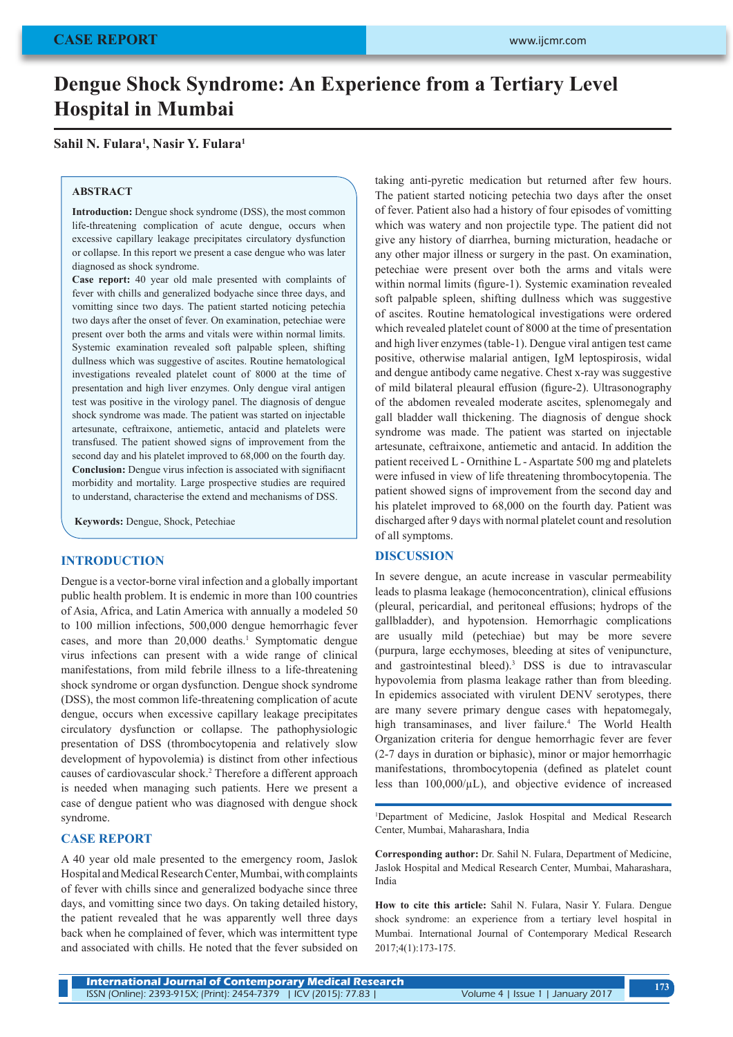# **Dengue Shock Syndrome: An Experience from a Tertiary Level Hospital in Mumbai**

# **Sahil N. Fulara1 , Nasir Y. Fulara1**

#### **ABSTRACT**

**Introduction:** Dengue shock syndrome (DSS), the most common life-threatening complication of acute dengue, occurs when excessive capillary leakage precipitates circulatory dysfunction or collapse. In this report we present a case dengue who was later diagnosed as shock syndrome.

**Case report:** 40 year old male presented with complaints of fever with chills and generalized bodyache since three days, and vomitting since two days. The patient started noticing petechia two days after the onset of fever. On examination, petechiae were present over both the arms and vitals were within normal limits. Systemic examination revealed soft palpable spleen, shifting dullness which was suggestive of ascites. Routine hematological investigations revealed platelet count of 8000 at the time of presentation and high liver enzymes. Only dengue viral antigen test was positive in the virology panel. The diagnosis of dengue shock syndrome was made. The patient was started on injectable artesunate, ceftraixone, antiemetic, antacid and platelets were transfused. The patient showed signs of improvement from the second day and his platelet improved to 68,000 on the fourth day. **Conclusion:** Dengue virus infection is associated with signifiacnt morbidity and mortality. Large prospective studies are required to understand, characterise the extend and mechanisms of DSS.

**Keywords:** Dengue, Shock, Petechiae

## **INTRODUCTION**

Dengue is a vector-borne viral infection and a globally important public health problem. It is endemic in more than 100 countries of Asia, Africa, and Latin America with annually a modeled 50 to 100 million infections, 500,000 dengue hemorrhagic fever cases, and more than 20,000 deaths.<sup>1</sup> Symptomatic dengue virus infections can present with a wide range of clinical manifestations, from mild febrile illness to a life-threatening shock syndrome or organ dysfunction. Dengue shock syndrome (DSS), the most common life-threatening complication of acute dengue, occurs when excessive capillary leakage precipitates circulatory dysfunction or collapse. The pathophysiologic presentation of DSS (thrombocytopenia and relatively slow development of hypovolemia) is distinct from other infectious causes of cardiovascular shock.<sup>2</sup> Therefore a different approach is needed when managing such patients. Here we present a case of dengue patient who was diagnosed with dengue shock syndrome.

#### **CASE REPORT**

A 40 year old male presented to the emergency room, Jaslok Hospital and Medical Research Center, Mumbai, with complaints of fever with chills since and generalized bodyache since three days, and vomitting since two days. On taking detailed history, the patient revealed that he was apparently well three days back when he complained of fever, which was intermittent type and associated with chills. He noted that the fever subsided on taking anti-pyretic medication but returned after few hours. The patient started noticing petechia two days after the onset of fever. Patient also had a history of four episodes of vomitting which was watery and non projectile type. The patient did not give any history of diarrhea, burning micturation, headache or any other major illness or surgery in the past. On examination, petechiae were present over both the arms and vitals were within normal limits (figure-1). Systemic examination revealed soft palpable spleen, shifting dullness which was suggestive of ascites. Routine hematological investigations were ordered which revealed platelet count of 8000 at the time of presentation and high liver enzymes (table-1). Dengue viral antigen test came positive, otherwise malarial antigen, IgM leptospirosis, widal and dengue antibody came negative. Chest x-ray was suggestive of mild bilateral pleaural effusion (figure-2). Ultrasonography of the abdomen revealed moderate ascites, splenomegaly and gall bladder wall thickening. The diagnosis of dengue shock syndrome was made. The patient was started on injectable artesunate, ceftraixone, antiemetic and antacid. In addition the patient received L - Ornithine L - Aspartate 500 mg and platelets were infused in view of life threatening thrombocytopenia. The patient showed signs of improvement from the second day and his platelet improved to 68,000 on the fourth day. Patient was discharged after 9 days with normal platelet count and resolution of all symptoms.

#### **DISCUSSION**

In severe dengue, an acute increase in vascular permeability leads to plasma leakage (hemoconcentration), clinical effusions (pleural, pericardial, and peritoneal effusions; hydrops of the gallbladder), and hypotension. Hemorrhagic complications are usually mild (petechiae) but may be more severe (purpura, large ecchymoses, bleeding at sites of venipuncture, and gastrointestinal bleed).3 DSS is due to intravascular hypovolemia from plasma leakage rather than from bleeding. In epidemics associated with virulent DENV serotypes, there are many severe primary dengue cases with hepatomegaly, high transaminases, and liver failure.<sup>4</sup> The World Health Organization criteria for dengue hemorrhagic fever are fever (2-7 days in duration or biphasic), minor or major hemorrhagic manifestations, thrombocytopenia (defined as platelet count less than 100,000/µL), and objective evidence of increased

1 Department of Medicine, Jaslok Hospital and Medical Research Center, Mumbai, Maharashara, India

**Corresponding author:** Dr. Sahil N. Fulara, Department of Medicine, Jaslok Hospital and Medical Research Center, Mumbai, Maharashara, India

**How to cite this article:** Sahil N. Fulara, Nasir Y. Fulara. Dengue shock syndrome: an experience from a tertiary level hospital in Mumbai. International Journal of Contemporary Medical Research 2017;4(1):173-175.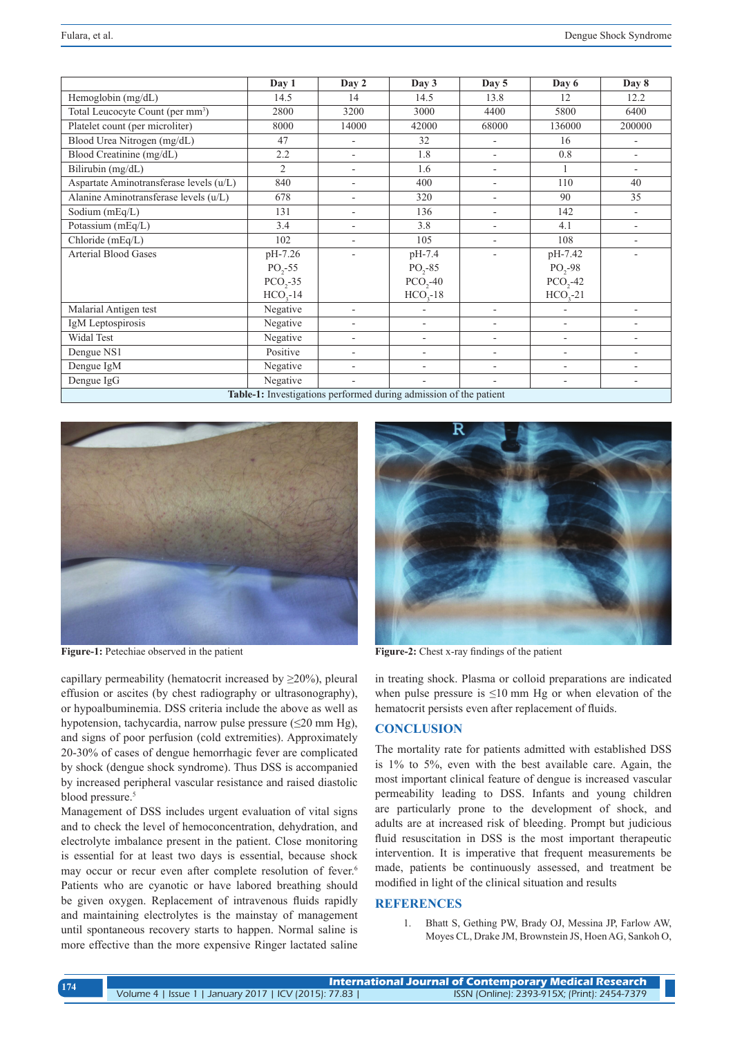|                                                                   | Day 1          | Day 2 | Day 3                    | Day 5                    | Day 6                    | Day 8                    |
|-------------------------------------------------------------------|----------------|-------|--------------------------|--------------------------|--------------------------|--------------------------|
| Hemoglobin (mg/dL)                                                | 14.5           | 14    | 14.5                     | 13.8                     | 12                       | 12.2                     |
| Total Leucocyte Count (per mm <sup>3</sup> )                      | 2800           | 3200  | 3000                     | 4400                     | 5800                     | 6400                     |
| Platelet count (per microliter)                                   | 8000           | 14000 | 42000                    | 68000                    | 136000                   | 200000                   |
| Blood Urea Nitrogen (mg/dL)                                       | 47             |       | 32                       | $\overline{\phantom{a}}$ | 16                       | $\overline{\phantom{a}}$ |
| Blood Creatinine (mg/dL)                                          | 2.2            | ٠     | 1.8                      | $\overline{\phantom{a}}$ | 0.8                      | $\overline{\phantom{a}}$ |
| Bilirubin (mg/dL)                                                 | $\overline{c}$ |       | 1.6                      | $\overline{\phantom{a}}$ |                          | $\overline{\phantom{a}}$ |
| Aspartate Aminotransferase levels (u/L)                           | 840            |       | 400                      | $\overline{\phantom{a}}$ | 110                      | 40                       |
| Alanine Aminotransferase levels (u/L)                             | 678            |       | 320                      | $\overline{\phantom{a}}$ | 90                       | 35                       |
| Sodium $(mEq/L)$                                                  | 131            | ٠     | 136                      | $\overline{\phantom{a}}$ | 142                      | $\overline{\phantom{a}}$ |
| Potassium (mEq/L)                                                 | 3.4            | ٠     | 3.8                      | $\overline{\phantom{a}}$ | 4.1                      | ٠                        |
| Chloride (mEq/L)                                                  | 102            |       | 105                      | $\overline{\phantom{a}}$ | 108                      | $\overline{\phantom{0}}$ |
| <b>Arterial Blood Gases</b>                                       | pH-7.26        |       | pH-7.4                   |                          | pH-7.42                  | ۰                        |
|                                                                   | $PO, -55$      |       | $PO, -85$                |                          | $PO, -98$                |                          |
|                                                                   | $PCO, -35$     |       | $PCO, -40$               |                          | $PCO, -42$               |                          |
|                                                                   | $HCO2-14$      |       | $HCO, -18$               |                          | $HCO3-21$                |                          |
| Malarial Antigen test                                             | Negative       |       | $\overline{\phantom{a}}$ | $\overline{\phantom{a}}$ |                          | ä,                       |
| IgM Leptospirosis                                                 | Negative       |       | ٠                        | $\blacksquare$           | $\overline{\phantom{a}}$ | $\overline{\phantom{0}}$ |
| <b>Widal Test</b>                                                 | Negative       |       | ٠                        | $\overline{\phantom{a}}$ | $\overline{\phantom{a}}$ | $\overline{\phantom{0}}$ |
| Dengue NS1                                                        | Positive       |       | ٠                        | $\overline{\phantom{a}}$ |                          | $\overline{\phantom{0}}$ |
| Dengue IgM                                                        | Negative       |       | ٠                        | $\overline{\phantom{a}}$ | $\overline{\phantom{a}}$ | ۰                        |
| Dengue IgG                                                        | Negative       | ٠     | $\qquad \qquad -$        | $\overline{\phantom{a}}$ | ۰                        | $\overline{\phantom{0}}$ |
| Table-1: Investigations performed during admission of the patient |                |       |                          |                          |                          |                          |



capillary permeability (hematocrit increased by ≥20%), pleural effusion or ascites (by chest radiography or ultrasonography), or hypoalbuminemia. DSS criteria include the above as well as hypotension, tachycardia, narrow pulse pressure (≤20 mm Hg), and signs of poor perfusion (cold extremities). Approximately 20-30% of cases of dengue hemorrhagic fever are complicated by shock (dengue shock syndrome). Thus DSS is accompanied by increased peripheral vascular resistance and raised diastolic blood pressure.<sup>5</sup>

Management of DSS includes urgent evaluation of vital signs and to check the level of hemoconcentration, dehydration, and electrolyte imbalance present in the patient. Close monitoring is essential for at least two days is essential, because shock may occur or recur even after complete resolution of fever.<sup>6</sup> Patients who are cyanotic or have labored breathing should be given oxygen. Replacement of intravenous fluids rapidly and maintaining electrolytes is the mainstay of management until spontaneous recovery starts to happen. Normal saline is more effective than the more expensive Ringer lactated saline



Figure-1: Petechiae observed in the patient **Figure-2:** Chest x-ray findings of the patient

in treating shock. Plasma or colloid preparations are indicated when pulse pressure is  $\leq 10$  mm Hg or when elevation of the hematocrit persists even after replacement of fluids.

# **CONCLUSION**

The mortality rate for patients admitted with established DSS is 1% to 5%, even with the best available care. Again, the most important clinical feature of dengue is increased vascular permeability leading to DSS. Infants and young children are particularly prone to the development of shock, and adults are at increased risk of bleeding. Prompt but judicious fluid resuscitation in DSS is the most important therapeutic intervention. It is imperative that frequent measurements be made, patients be continuously assessed, and treatment be modified in light of the clinical situation and results

#### **REFERENCES**

1. Bhatt S, Gething PW, Brady OJ, Messina JP, Farlow AW, Moyes CL, Drake JM, Brownstein JS, Hoen AG, Sankoh O,